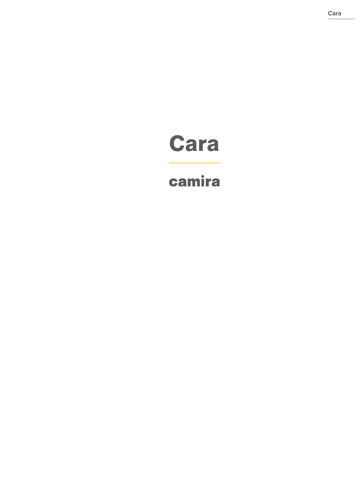# Cara

## camira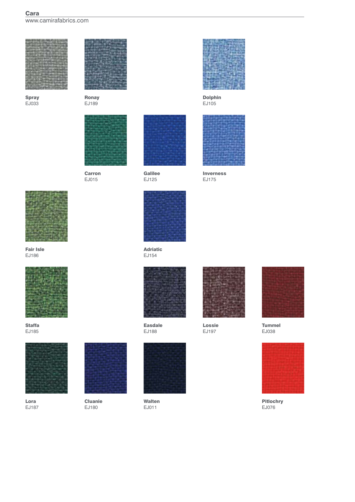## Cara www.camirafabrics.com



Spray EJ033



Ronay EJ189



Carron EJ015



Galilee EJ125



EJ154







Lossie EJ197



Tummel EJ038



Pitlochry EJ076



Fair Isle EJ186



Staffa EJ185



Lora EJ187



Cluanie EJ180



Walten EJ011



Dolphin EJ105



Inverness EJ175

Adriatic

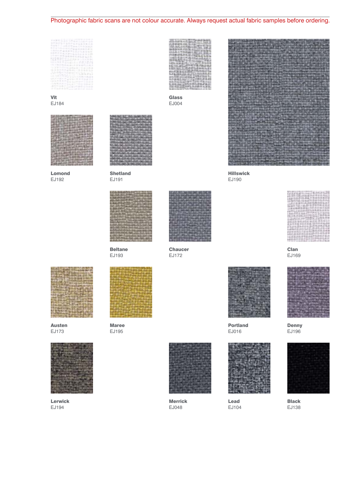## Photographic fabric scans are not colour accurate. Always request actual fabric samples before ordering.

Glass EJ004

| エエポギ            |                      | Supply to the                |                                    |                      |                   |                             |
|-----------------|----------------------|------------------------------|------------------------------------|----------------------|-------------------|-----------------------------|
|                 | <b>Multiple Inc.</b> |                              | おおがえはもあり                           |                      |                   | 31, 11, 1                   |
|                 |                      |                              |                                    |                      | <b>6-6-6-6 km</b> |                             |
|                 |                      | <b>TELEPARTEMENT</b>         |                                    |                      | <b>ALL BAY</b>    | 2.3.5.8.9.4.4.4.4.4.5.5.5.5 |
| <b>Contract</b> | .                    | <b><i><u>RASSISS</u></i></b> |                                    | 10.14<br><b>TEST</b> |                   |                             |
|                 | <b><i>RACKS</i></b>  | 도 표현된다.                      | THE R. P. LEWIS CO., LANSING MICH. |                      |                   |                             |
| œ               | 1.1.1.1              |                              |                                    |                      |                   |                             |
|                 | ar sa a              |                              |                                    |                      |                   |                             |

Vit EJ184



Lomond EJ192



Shetland EJ191



Beltane EJ193



Chaucer EJ172



Austen EJ173



Lerwick EJ194



Maree EJ195



Merrick EJ048



Hillswick EJ190

Portland EJ016

Lead EJ104



Clan EJ169



Denny EJ196



Black EJ138